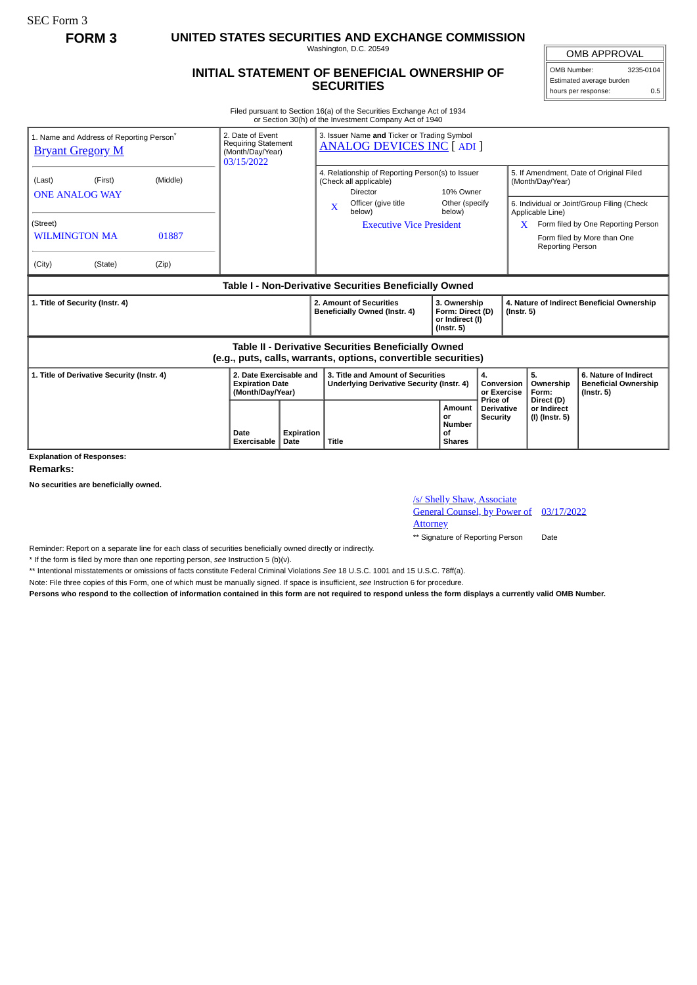**FORM 3 UNITED STATES SECURITIES AND EXCHANGE COMMISSION**

Washington, D.C. 20549

## **INITIAL STATEMENT OF BENEFICIAL OWNERSHIP OF SECURITIES**

OMB APPROVAL OMB Number: 3235-0104 Estimated average burden hours per response: 0.5

Filed pursuant to Section 16(a) of the Securities Exchange Act of 1934 or Section 30(h) of the Investment Company Act of 1940

| 1. Name and Address of Reporting Person <sup>®</sup><br><b>Bryant Gregory M</b>                                       | 2. Date of Event<br><b>Requiring Statement</b><br>(Month/Day/Year)<br>03/15/2022 |                                                                       | 3. Issuer Name and Ticker or Trading Symbol<br><b>ANALOG DEVICES INC [ ADI ]</b>                                                    |                                                                                       |                                               |                                                                |                                                                                                           |                                                                          |  |
|-----------------------------------------------------------------------------------------------------------------------|----------------------------------------------------------------------------------|-----------------------------------------------------------------------|-------------------------------------------------------------------------------------------------------------------------------------|---------------------------------------------------------------------------------------|-----------------------------------------------|----------------------------------------------------------------|-----------------------------------------------------------------------------------------------------------|--------------------------------------------------------------------------|--|
| (Middle)<br>(First)<br>(Last)<br><b>ONE ANALOG WAY</b>                                                                |                                                                                  |                                                                       | 4. Relationship of Reporting Person(s) to Issuer<br>(Check all applicable)<br>Director<br>Officer (give title                       |                                                                                       | 10% Owner<br>Other (specify                   |                                                                | 5. If Amendment, Date of Original Filed<br>(Month/Day/Year)<br>6. Individual or Joint/Group Filing (Check |                                                                          |  |
| (Street)<br><b>WILMINGTON MA</b><br>01887<br>(City)<br>(Zip)<br>(State)                                               |                                                                                  |                                                                       | $\mathbf x$<br>below)                                                                                                               | <b>Executive Vice President</b>                                                       | below)                                        |                                                                | Applicable Line)<br>X<br><b>Reporting Person</b>                                                          | Form filed by One Reporting Person<br>Form filed by More than One        |  |
| <b>Table I - Non-Derivative Securities Beneficially Owned</b>                                                         |                                                                                  |                                                                       |                                                                                                                                     |                                                                                       |                                               |                                                                |                                                                                                           |                                                                          |  |
| 1. Title of Security (Instr. 4)                                                                                       |                                                                                  |                                                                       | 2. Amount of Securities<br>3. Ownership<br>Beneficially Owned (Instr. 4)<br>Form: Direct (D)<br>or Indirect (I)<br>$($ lnstr. 5 $)$ |                                                                                       |                                               | 4. Nature of Indirect Beneficial Ownership<br>$($ lnstr. 5 $)$ |                                                                                                           |                                                                          |  |
| Table II - Derivative Securities Beneficially Owned<br>(e.g., puts, calls, warrants, options, convertible securities) |                                                                                  |                                                                       |                                                                                                                                     |                                                                                       |                                               |                                                                |                                                                                                           |                                                                          |  |
| 1. Title of Derivative Security (Instr. 4)                                                                            |                                                                                  | 2. Date Exercisable and<br><b>Expiration Date</b><br>(Month/Day/Year) |                                                                                                                                     | 3. Title and Amount of Securities<br><b>Underlying Derivative Security (Instr. 4)</b> |                                               | 4.<br>Conversion<br>or Exercise                                | 5.<br>Ownership<br>Form:                                                                                  | 6. Nature of Indirect<br><b>Beneficial Ownership</b><br>$($ Instr. 5 $)$ |  |
|                                                                                                                       | Date<br>Exercisable                                                              | Expiration<br>Date                                                    | Title                                                                                                                               |                                                                                       | Amount<br>or<br>Number<br>οf<br><b>Shares</b> | Price of<br><b>Derivative</b><br><b>Security</b>               | Direct (D)<br>or Indirect<br>(I) (Instr. 5)                                                               |                                                                          |  |

**Explanation of Responses:**

**Remarks:**

**No securities are beneficially owned.**

/s/ Shelly Shaw, Associate

General Counsel, by Power of 03/17/2022

**Attorney** 

\*\* Signature of Reporting Person Date

Reminder: Report on a separate line for each class of securities beneficially owned directly or indirectly.

\* If the form is filed by more than one reporting person, *see* Instruction 5 (b)(v).

\*\* Intentional misstatements or omissions of facts constitute Federal Criminal Violations *See* 18 U.S.C. 1001 and 15 U.S.C. 78ff(a).

Note: File three copies of this Form, one of which must be manually signed. If space is insufficient, *see* Instruction 6 for procedure.

**Persons who respond to the collection of information contained in this form are not required to respond unless the form displays a currently valid OMB Number.**